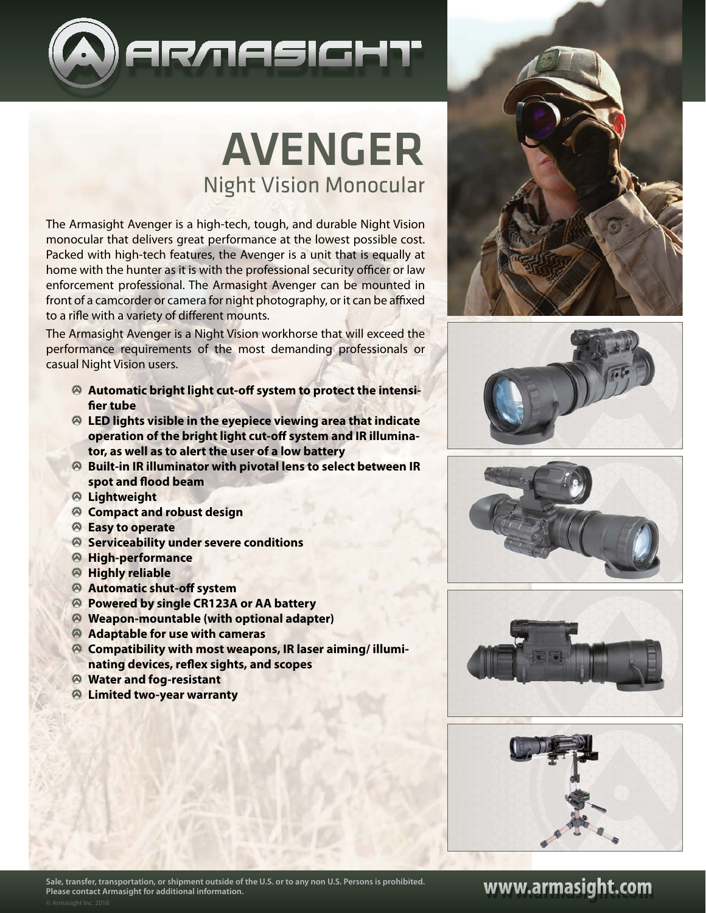

# AVENGER Night Vision Monocular

The Armasight Avenger is a high-tech, tough, and durable Night Vision monocular that delivers great performance at the lowest possible cost. Packed with high-tech features, the Avenger is a unit that is equally at home with the hunter as it is with the professional security officer or law enforcement professional. The Armasight Avenger can be mounted in front of a camcorder or camera for night photography, or it can be affixed to a rifle with a variety of different mounts.

The Armasight Avenger is a Night Vision workhorse that will exceed the performance requirements of the most demanding professionals or casual Night Vision users.

- **Automatic bright light cut-off system to protect the intensifier tube**
- **LED lights visible in the eyepiece viewing area that indicate operation of the bright light cut-off system and IR illuminator, as well as to alert the user of a low battery**
- **Built-in IR illuminator with pivotal lens to select between IR spot and flood beam**
- **Lightweight**
- **Compact and robust design**
- **Easy to operate**
- **Serviceability under severe conditions**
- **High-performance**
- **Highly reliable**
- **Automatic shut-off system**
- **Powered by single CR123A or AA battery**
- **Weapon-mountable (with optional adapter)**
- **Adaptable for use with cameras**
- **Compatibility with most weapons, IR laser aiming/ illuminating devices, reflex sights, and scopes**
- **Water and fog-resistant**
- **Limited two-year warranty**